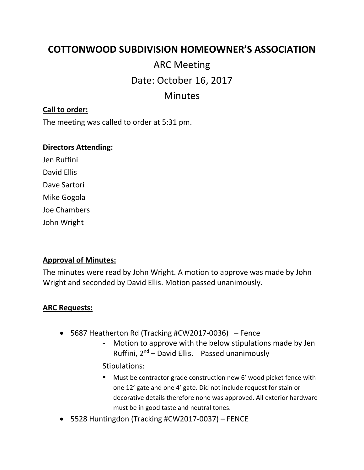# **COTTONWOOD SUBDIVISION HOMEOWNER'S ASSOCIATION**

# ARC Meeting Date: October 16, 2017 Minutes

## **Call to order:**

The meeting was called to order at 5:31 pm.

#### **Directors Attending:**

Jen Ruffini David Ellis Dave Sartori Mike Gogola Joe Chambers John Wright

### **Approval of Minutes:**

The minutes were read by John Wright. A motion to approve was made by John Wright and seconded by David Ellis. Motion passed unanimously.

#### **ARC Requests:**

- 5687 Heatherton Rd (Tracking #CW2017-0036) Fence
	- Motion to approve with the below stipulations made by Jen Ruffini, 2nd – David Ellis. Passed unanimously

Stipulations:

- Must be contractor grade construction new 6' wood picket fence with one 12' gate and one 4' gate. Did not include request for stain or decorative details therefore none was approved. All exterior hardware must be in good taste and neutral tones.
- 5528 Huntingdon (Tracking #CW2017-0037) FENCE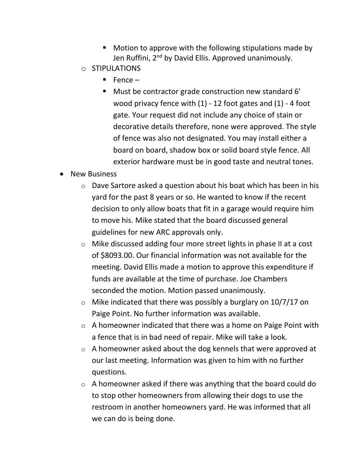- Motion to approve with the following stipulations made by Jen Ruffini, 2<sup>nd</sup> by David Ellis. Approved unanimously.
- o STIPULATIONS
	- $\blacksquare$  Fence –
	- Must be contractor grade construction new standard 6' wood privacy fence with (1) - 12 foot gates and (1) - 4 foot gate. Your request did not include any choice of stain or decorative details therefore, none were approved. The style of fence was also not designated. You may install either a board on board, shadow box or solid board style fence. All exterior hardware must be in good taste and neutral tones.
- New Business
	- $\circ$  Dave Sartore asked a question about his boat which has been in his yard for the past 8 years or so. He wanted to know if the recent decision to only allow boats that fit in a garage would require him to move his. Mike stated that the board discussed general guidelines for new ARC approvals only.
	- o Mike discussed adding four more street lights in phase II at a cost of \$8093.00. Our financial information was not available for the meeting. David Ellis made a motion to approve this expenditure if funds are available at the time of purchase. Joe Chambers seconded the motion. Motion passed unanimously.
	- $\circ$  Mike indicated that there was possibly a burglary on 10/7/17 on Paige Point. No further information was available.
	- $\circ$  A homeowner indicated that there was a home on Paige Point with a fence that is in bad need of repair. Mike will take a look.
	- $\circ$  A homeowner asked about the dog kennels that were approved at our last meeting. Information was given to him with no further questions.
	- o A homeowner asked if there was anything that the board could do to stop other homeowners from allowing their dogs to use the restroom in another homeowners yard. He was informed that all we can do is being done.